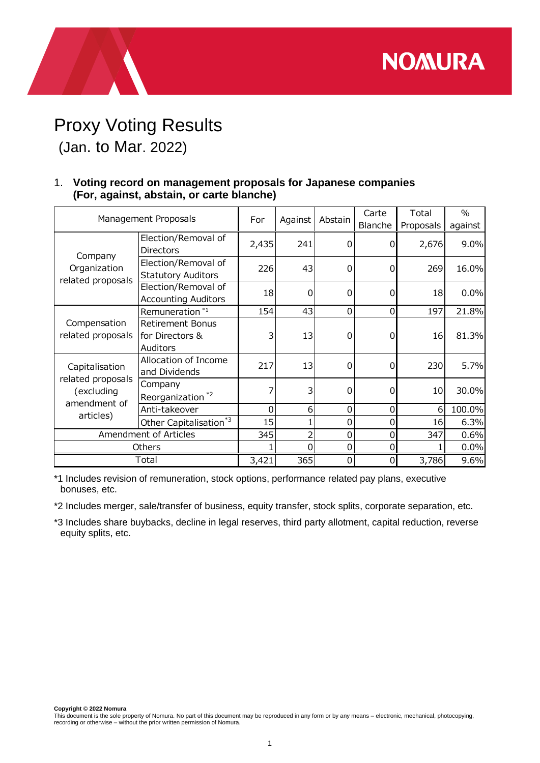**NOMURA** 

## Proxy Voting Results (Jan. to Mar. 2022)

## 1. **Voting record on management proposals for Japanese companies (For, against, abstain, or carte blanche)**

| Management Proposals                                                           |                                                               | For   | Against        | Abstain     | Carte<br>Blanche | Total<br>Proposals | $\%$<br>against |
|--------------------------------------------------------------------------------|---------------------------------------------------------------|-------|----------------|-------------|------------------|--------------------|-----------------|
| Company<br>Organization<br>related proposals                                   | Election/Removal of<br><b>Directors</b>                       | 2,435 | 241            | 0           | $\Omega$         | 2,676              | 9.0%            |
|                                                                                | Election/Removal of<br><b>Statutory Auditors</b>              | 226   | 43             | 0           | 0                | 269                | 16.0%           |
|                                                                                | Election/Removal of<br><b>Accounting Auditors</b>             | 18    | $\mathbf 0$    | 0           | $\Omega$         | 18                 | 0.0%            |
| Compensation<br>related proposals                                              | Remuneration <sup>*1</sup>                                    | 154   | 43             | $\mathbf 0$ | $\mathbf 0$      | 197                | 21.8%           |
|                                                                                | <b>Retirement Bonus</b><br>for Directors &<br><b>Auditors</b> | 3     | 13             | 0           | 0                | 16                 | 81.3%           |
| Capitalisation<br>related proposals<br>(excluding<br>amendment of<br>articles) | Allocation of Income<br>and Dividends                         | 217   | 13             | 0           | 0                | 230                | 5.7%            |
|                                                                                | Company<br>Reorganization <sup>*2</sup>                       | 7     | 3              | $\Omega$    | $\Omega$         | 10                 | 30.0%           |
|                                                                                | Anti-takeover                                                 | 0     | 6              | 0           | 0                | 6                  | 100.0%          |
|                                                                                | Other Capitalisation <sup>*3</sup>                            | 15    |                | 0           | 0                | 16                 | 6.3%            |
| Amendment of Articles                                                          |                                                               | 345   | $\overline{2}$ | 0           | 0                | 347                | 0.6%            |
| Others                                                                         |                                                               |       | 0              | 0           | 0                |                    | 0.0%            |
| Total                                                                          |                                                               | 3,421 | 365            | 0           | 0                | 3,786              | 9.6%            |

\*1 Includes revision of remuneration, stock options, performance related pay plans, executive bonuses, etc.

\*2 Includes merger, sale/transfer of business, equity transfer, stock splits, corporate separation, etc.

\*3 Includes share buybacks, decline in legal reserves, third party allotment, capital reduction, reverse equity splits, etc.

**Copyright © 2022 Nomura**

This document is the sole property of Nomura. No part of this document may be reproduced in any form or by any means – electronic, mechanical, photocopying,<br>recording or otherwise – without the prior written permission of